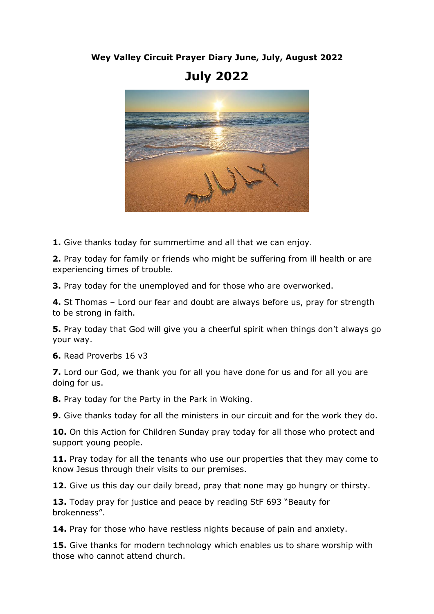## **Wey Valley Circuit Prayer Diary June, July, August 2022**

## **July 2022**



**1.** Give thanks today for summertime and all that we can enjoy.

**2.** Pray today for family or friends who might be suffering from ill health or are experiencing times of trouble.

**3.** Pray today for the unemployed and for those who are overworked.

**4.** St Thomas – Lord our fear and doubt are always before us, pray for strength to be strong in faith.

**5.** Pray today that God will give you a cheerful spirit when things don't always go your way.

**6.** Read Proverbs 16 v3

**7.** Lord our God, we thank you for all you have done for us and for all you are doing for us.

**8.** Pray today for the Party in the Park in Woking.

**9.** Give thanks today for all the ministers in our circuit and for the work they do.

**10.** On this Action for Children Sunday pray today for all those who protect and support young people.

**11.** Pray today for all the tenants who use our properties that they may come to know Jesus through their visits to our premises.

**12.** Give us this day our daily bread, pray that none may go hungry or thirsty.

13. Today pray for justice and peace by reading StF 693 "Beauty for brokenness".

**14.** Pray for those who have restless nights because of pain and anxiety.

**15.** Give thanks for modern technology which enables us to share worship with those who cannot attend church.